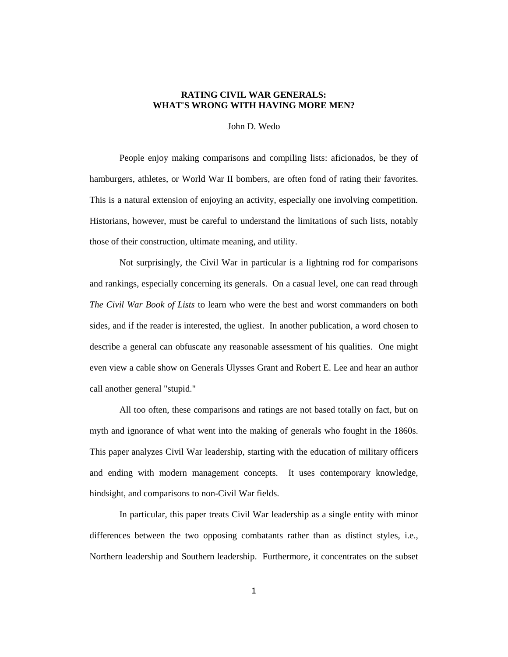## **RATING CIVIL WAR GENERALS: WHAT'S WRONG WITH HAVING MORE MEN?**

John D. Wedo

People enjoy making comparisons and compiling lists: aficionados, be they of hamburgers, athletes, or World War II bombers, are often fond of rating their favorites. This is a natural extension of enjoying an activity, especially one involving competition. Historians, however, must be careful to understand the limitations of such lists, notably those of their construction, ultimate meaning, and utility.

Not surprisingly, the Civil War in particular is a lightning rod for comparisons and rankings, especially concerning its generals. On a casual level, one can read through *The Civil War Book of Lists* to learn who were the best and worst commanders on both sides, and if the reader is interested, the ugliest. In another publication, a word chosen to describe a general can obfuscate any reasonable assessment of his qualities. One might even view a cable show on Generals Ulysses Grant and Robert E. Lee and hear an author call another general "stupid."

All too often, these comparisons and ratings are not based totally on fact, but on myth and ignorance of what went into the making of generals who fought in the 1860s. This paper analyzes Civil War leadership, starting with the education of military officers and ending with modern management concepts. It uses contemporary knowledge, hindsight, and comparisons to non-Civil War fields.

In particular, this paper treats Civil War leadership as a single entity with minor differences between the two opposing combatants rather than as distinct styles, i.e., Northern leadership and Southern leadership. Furthermore, it concentrates on the subset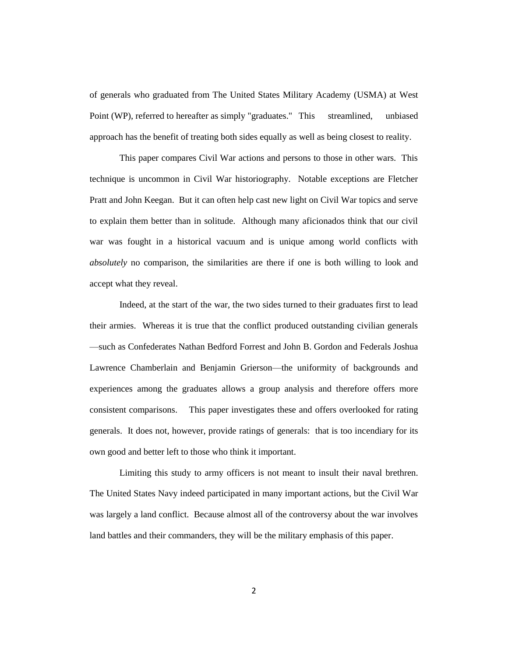of generals who graduated from The United States Military Academy (USMA) at West Point (WP), referred to hereafter as simply "graduates." This streamlined, unbiased approach has the benefit of treating both sides equally as well as being closest to reality.

This paper compares Civil War actions and persons to those in other wars. This technique is uncommon in Civil War historiography. Notable exceptions are Fletcher Pratt and John Keegan. But it can often help cast new light on Civil War topics and serve to explain them better than in solitude. Although many aficionados think that our civil war was fought in a historical vacuum and is unique among world conflicts with *absolutely* no comparison, the similarities are there if one is both willing to look and accept what they reveal.

Indeed, at the start of the war, the two sides turned to their graduates first to lead their armies. Whereas it is true that the conflict produced outstanding civilian generals —such as Confederates Nathan Bedford Forrest and John B. Gordon and Federals Joshua Lawrence Chamberlain and Benjamin Grierson—the uniformity of backgrounds and experiences among the graduates allows a group analysis and therefore offers more consistent comparisons. This paper investigates these and offers overlooked for rating generals. It does not, however, provide ratings of generals: that is too incendiary for its own good and better left to those who think it important.

Limiting this study to army officers is not meant to insult their naval brethren. The United States Navy indeed participated in many important actions, but the Civil War was largely a land conflict. Because almost all of the controversy about the war involves land battles and their commanders, they will be the military emphasis of this paper.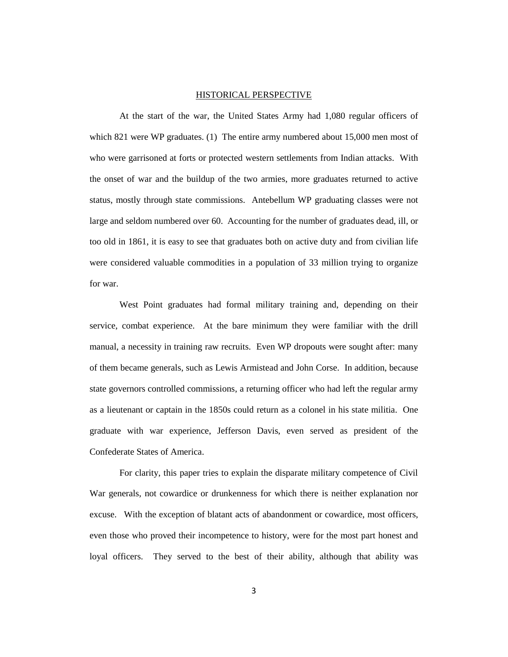### HISTORICAL PERSPECTIVE

At the start of the war, the United States Army had 1,080 regular officers of which 821 were WP graduates. (1) The entire army numbered about 15,000 men most of who were garrisoned at forts or protected western settlements from Indian attacks. With the onset of war and the buildup of the two armies, more graduates returned to active status, mostly through state commissions. Antebellum WP graduating classes were not large and seldom numbered over 60. Accounting for the number of graduates dead, ill, or too old in 1861, it is easy to see that graduates both on active duty and from civilian life were considered valuable commodities in a population of 33 million trying to organize for war.

West Point graduates had formal military training and, depending on their service, combat experience. At the bare minimum they were familiar with the drill manual, a necessity in training raw recruits. Even WP dropouts were sought after: many of them became generals, such as Lewis Armistead and John Corse. In addition, because state governors controlled commissions, a returning officer who had left the regular army as a lieutenant or captain in the 1850s could return as a colonel in his state militia. One graduate with war experience, Jefferson Davis, even served as president of the Confederate States of America.

For clarity, this paper tries to explain the disparate military competence of Civil War generals, not cowardice or drunkenness for which there is neither explanation nor excuse. With the exception of blatant acts of abandonment or cowardice, most officers, even those who proved their incompetence to history, were for the most part honest and loyal officers. They served to the best of their ability, although that ability was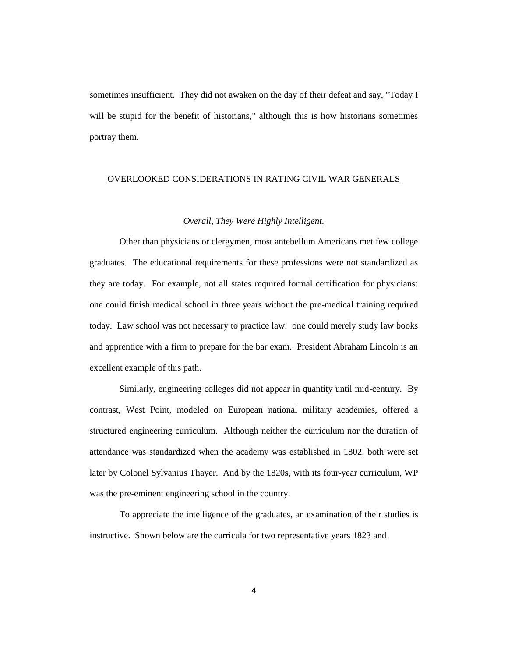sometimes insufficient. They did not awaken on the day of their defeat and say, "Today I will be stupid for the benefit of historians," although this is how historians sometimes portray them.

## OVERLOOKED CONSIDERATIONS IN RATING CIVIL WAR GENERALS

### *Overall, They Were Highly Intelligent.*

Other than physicians or clergymen, most antebellum Americans met few college graduates. The educational requirements for these professions were not standardized as they are today. For example, not all states required formal certification for physicians: one could finish medical school in three years without the pre-medical training required today. Law school was not necessary to practice law: one could merely study law books and apprentice with a firm to prepare for the bar exam. President Abraham Lincoln is an excellent example of this path.

Similarly, engineering colleges did not appear in quantity until mid-century. By contrast, West Point, modeled on European national military academies, offered a structured engineering curriculum. Although neither the curriculum nor the duration of attendance was standardized when the academy was established in 1802, both were set later by Colonel Sylvanius Thayer. And by the 1820s, with its four-year curriculum, WP was the pre-eminent engineering school in the country.

To appreciate the intelligence of the graduates, an examination of their studies is instructive. Shown below are the curricula for two representative years 1823 and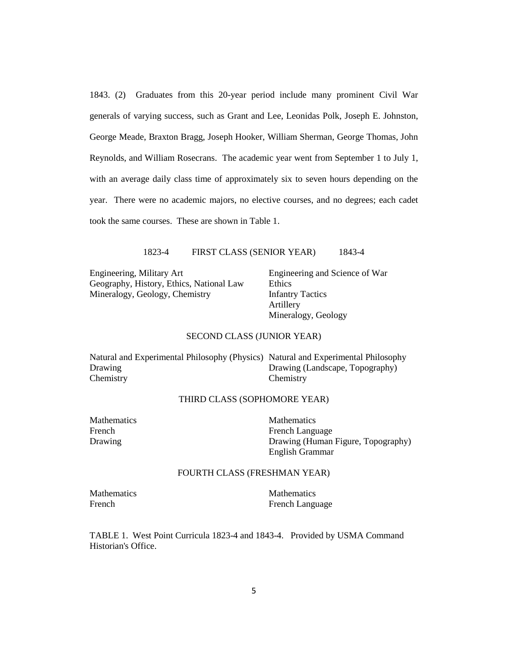1843. (2) Graduates from this 20-year period include many prominent Civil War generals of varying success, such as Grant and Lee, Leonidas Polk, Joseph E. Johnston, George Meade, Braxton Bragg, Joseph Hooker, William Sherman, George Thomas, John Reynolds, and William Rosecrans. The academic year went from September 1 to July 1, with an average daily class time of approximately six to seven hours depending on the year. There were no academic majors, no elective courses, and no degrees; each cadet took the same courses. These are shown in Table 1.

1823-4 FIRST CLASS (SENIOR YEAR) 1843-4

Engineering, Military Art Engineering and Science of War Geography, History, Ethics, National Law Ethics Mineralogy, Geology, Chemistry **Infantry Tactics** 

Artillery Mineralogy, Geology

### SECOND CLASS (JUNIOR YEAR)

| Natural and Experimental Philosophy (Physics) Natural and Experimental Philosophy |                                 |
|-----------------------------------------------------------------------------------|---------------------------------|
| <b>Drawing</b>                                                                    | Drawing (Landscape, Topography) |
| Chemistry                                                                         | Chemistry                       |

### THIRD CLASS (SOPHOMORE YEAR)

Mathematics Mathematics French Language French Language Drawing Drawing Drawing (Human Figure, Topography) English Grammar

## FOURTH CLASS (FRESHMAN YEAR)

Mathematics Mathematics

French **Exercise Exercise Exercise French Language** 

TABLE 1. West Point Curricula 1823-4 and 1843-4. Provided by USMA Command Historian's Office.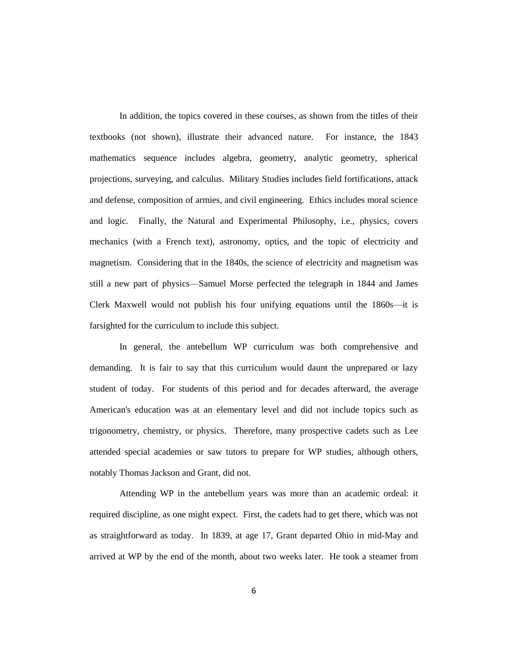In addition, the topics covered in these courses, as shown from the titles of their textbooks (not shown), illustrate their advanced nature. For instance, the 1843 mathematics sequence includes algebra, geometry, analytic geometry, spherical projections, surveying, and calculus. Military Studies includes field fortifications, attack and defense, composition of armies, and civil engineering. Ethics includes moral science and logic. Finally, the Natural and Experimental Philosophy, i.e., physics, covers mechanics (with a French text), astronomy, optics, and the topic of electricity and magnetism. Considering that in the 1840s, the science of electricity and magnetism was still a new part of physics—Samuel Morse perfected the telegraph in 1844 and James Clerk Maxwell would not publish his four unifying equations until the 1860s—it is farsighted for the curriculum to include this subject.

In general, the antebellum WP curriculum was both comprehensive and demanding. It is fair to say that this curriculum would daunt the unprepared or lazy student of today. For students of this period and for decades afterward, the average American's education was at an elementary level and did not include topics such as trigonometry, chemistry, or physics. Therefore, many prospective cadets such as Lee attended special academies or saw tutors to prepare for WP studies, although others, notably Thomas Jackson and Grant, did not.

Attending WP in the antebellum years was more than an academic ordeal: it required discipline, as one might expect. First, the cadets had to get there, which was not as straightforward as today. In 1839, at age 17, Grant departed Ohio in mid-May and arrived at WP by the end of the month, about two weeks later. He took a steamer from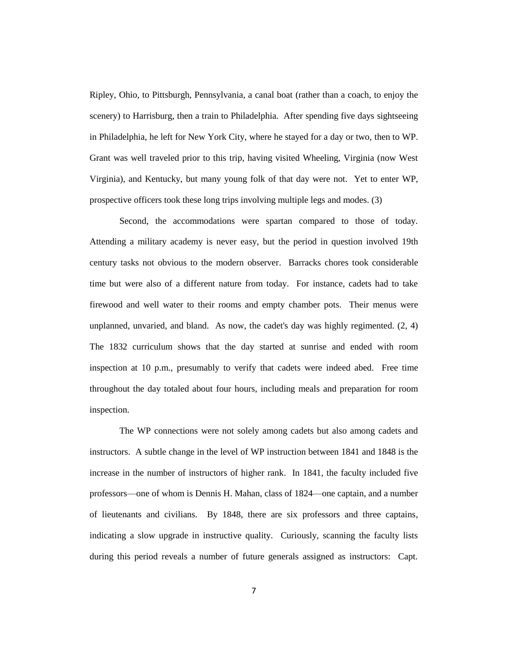Ripley, Ohio, to Pittsburgh, Pennsylvania, a canal boat (rather than a coach, to enjoy the scenery) to Harrisburg, then a train to Philadelphia. After spending five days sightseeing in Philadelphia, he left for New York City, where he stayed for a day or two, then to WP. Grant was well traveled prior to this trip, having visited Wheeling, Virginia (now West Virginia), and Kentucky, but many young folk of that day were not. Yet to enter WP, prospective officers took these long trips involving multiple legs and modes. (3)

Second, the accommodations were spartan compared to those of today. Attending a military academy is never easy, but the period in question involved 19th century tasks not obvious to the modern observer. Barracks chores took considerable time but were also of a different nature from today. For instance, cadets had to take firewood and well water to their rooms and empty chamber pots. Their menus were unplanned, unvaried, and bland. As now, the cadet's day was highly regimented.  $(2, 4)$ The 1832 curriculum shows that the day started at sunrise and ended with room inspection at 10 p.m., presumably to verify that cadets were indeed abed. Free time throughout the day totaled about four hours, including meals and preparation for room inspection.

The WP connections were not solely among cadets but also among cadets and instructors. A subtle change in the level of WP instruction between 1841 and 1848 is the increase in the number of instructors of higher rank. In 1841, the faculty included five professors—one of whom is Dennis H. Mahan, class of 1824—one captain, and a number of lieutenants and civilians. By 1848, there are six professors and three captains, indicating a slow upgrade in instructive quality. Curiously, scanning the faculty lists during this period reveals a number of future generals assigned as instructors: Capt.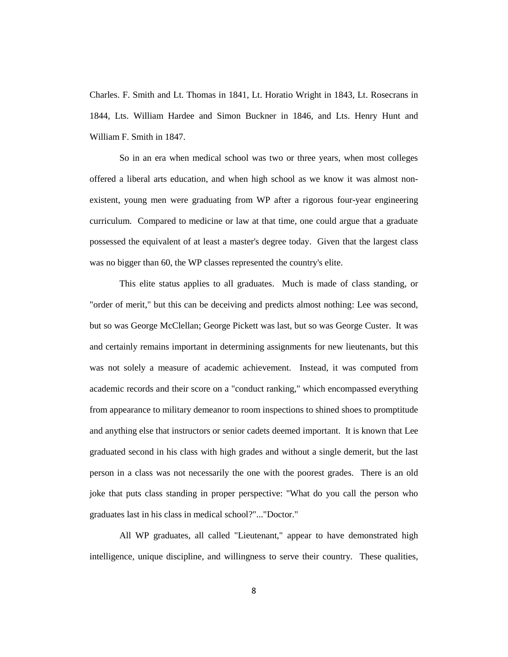Charles. F. Smith and Lt. Thomas in 1841, Lt. Horatio Wright in 1843, Lt. Rosecrans in 1844, Lts. William Hardee and Simon Buckner in 1846, and Lts. Henry Hunt and William F. Smith in 1847.

So in an era when medical school was two or three years, when most colleges offered a liberal arts education, and when high school as we know it was almost nonexistent, young men were graduating from WP after a rigorous four-year engineering curriculum. Compared to medicine or law at that time, one could argue that a graduate possessed the equivalent of at least a master's degree today. Given that the largest class was no bigger than 60, the WP classes represented the country's elite.

This elite status applies to all graduates. Much is made of class standing, or "order of merit," but this can be deceiving and predicts almost nothing: Lee was second, but so was George McClellan; George Pickett was last, but so was George Custer. It was and certainly remains important in determining assignments for new lieutenants, but this was not solely a measure of academic achievement. Instead, it was computed from academic records and their score on a "conduct ranking," which encompassed everything from appearance to military demeanor to room inspections to shined shoes to promptitude and anything else that instructors or senior cadets deemed important. It is known that Lee graduated second in his class with high grades and without a single demerit, but the last person in a class was not necessarily the one with the poorest grades. There is an old joke that puts class standing in proper perspective: "What do you call the person who graduates last in his class in medical school?"..."Doctor."

All WP graduates, all called "Lieutenant," appear to have demonstrated high intelligence, unique discipline, and willingness to serve their country. These qualities,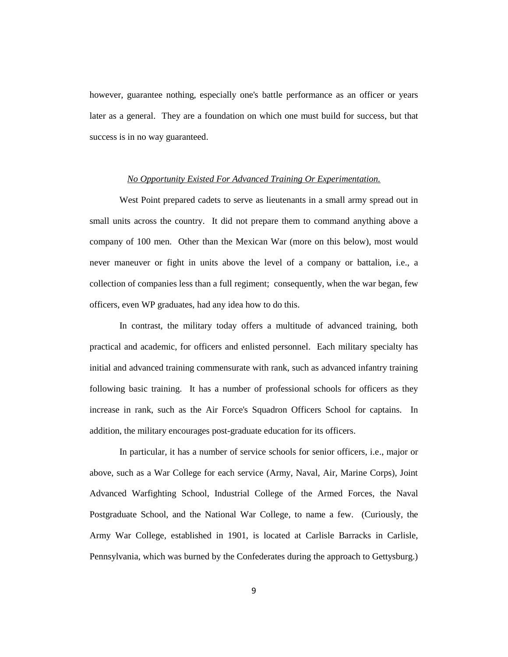however, guarantee nothing, especially one's battle performance as an officer or years later as a general. They are a foundation on which one must build for success, but that success is in no way guaranteed.

### *No Opportunity Existed For Advanced Training Or Experimentation.*

West Point prepared cadets to serve as lieutenants in a small army spread out in small units across the country. It did not prepare them to command anything above a company of 100 men. Other than the Mexican War (more on this below), most would never maneuver or fight in units above the level of a company or battalion, i.e., a collection of companies less than a full regiment; consequently, when the war began, few officers, even WP graduates, had any idea how to do this.

In contrast, the military today offers a multitude of advanced training, both practical and academic, for officers and enlisted personnel. Each military specialty has initial and advanced training commensurate with rank, such as advanced infantry training following basic training. It has a number of professional schools for officers as they increase in rank, such as the Air Force's Squadron Officers School for captains. In addition, the military encourages post-graduate education for its officers.

In particular, it has a number of service schools for senior officers, i.e., major or above, such as a War College for each service (Army, Naval, Air, Marine Corps), Joint Advanced Warfighting School, Industrial College of the Armed Forces, the Naval Postgraduate School, and the National War College, to name a few. (Curiously, the Army War College, established in 1901, is located at Carlisle Barracks in Carlisle, Pennsylvania, which was burned by the Confederates during the approach to Gettysburg.)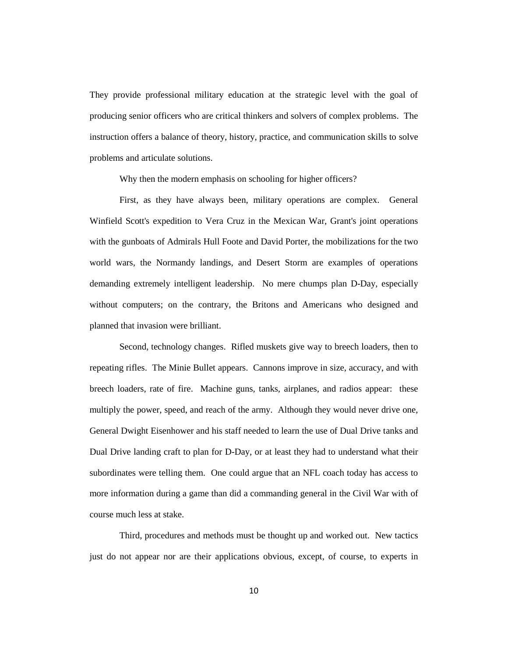They provide professional military education at the strategic level with the goal of producing senior officers who are critical thinkers and solvers of complex problems. The instruction offers a balance of theory, history, practice, and communication skills to solve problems and articulate solutions.

Why then the modern emphasis on schooling for higher officers?

First, as they have always been, military operations are complex. General Winfield Scott's expedition to Vera Cruz in the Mexican War, Grant's joint operations with the gunboats of Admirals Hull Foote and David Porter, the mobilizations for the two world wars, the Normandy landings, and Desert Storm are examples of operations demanding extremely intelligent leadership. No mere chumps plan D-Day, especially without computers; on the contrary, the Britons and Americans who designed and planned that invasion were brilliant.

Second, technology changes. Rifled muskets give way to breech loaders, then to repeating rifles. The Minie Bullet appears. Cannons improve in size, accuracy, and with breech loaders, rate of fire. Machine guns, tanks, airplanes, and radios appear: these multiply the power, speed, and reach of the army. Although they would never drive one, General Dwight Eisenhower and his staff needed to learn the use of Dual Drive tanks and Dual Drive landing craft to plan for D-Day, or at least they had to understand what their subordinates were telling them. One could argue that an NFL coach today has access to more information during a game than did a commanding general in the Civil War with of course much less at stake.

Third, procedures and methods must be thought up and worked out. New tactics just do not appear nor are their applications obvious, except, of course, to experts in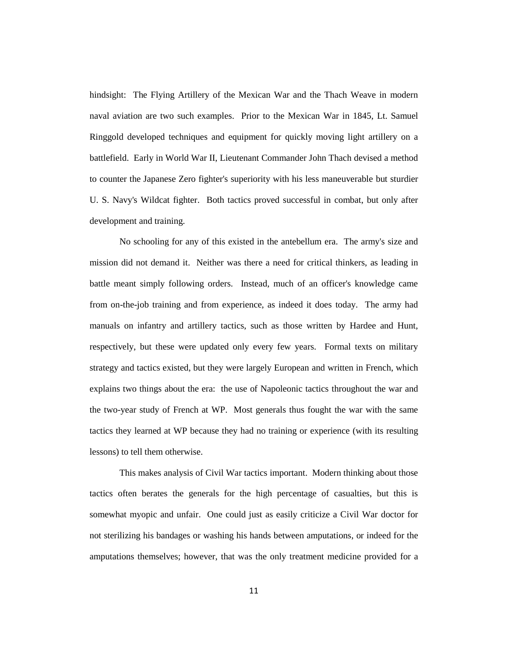hindsight: The Flying Artillery of the Mexican War and the Thach Weave in modern naval aviation are two such examples. Prior to the Mexican War in 1845, Lt. Samuel Ringgold developed techniques and equipment for quickly moving light artillery on a battlefield. Early in World War II, Lieutenant Commander John Thach devised a method to counter the Japanese Zero fighter's superiority with his less maneuverable but sturdier U. S. Navy's Wildcat fighter. Both tactics proved successful in combat, but only after development and training.

No schooling for any of this existed in the antebellum era. The army's size and mission did not demand it. Neither was there a need for critical thinkers, as leading in battle meant simply following orders. Instead, much of an officer's knowledge came from on-the-job training and from experience, as indeed it does today. The army had manuals on infantry and artillery tactics, such as those written by Hardee and Hunt, respectively, but these were updated only every few years. Formal texts on military strategy and tactics existed, but they were largely European and written in French, which explains two things about the era: the use of Napoleonic tactics throughout the war and the two-year study of French at WP. Most generals thus fought the war with the same tactics they learned at WP because they had no training or experience (with its resulting lessons) to tell them otherwise.

This makes analysis of Civil War tactics important. Modern thinking about those tactics often berates the generals for the high percentage of casualties, but this is somewhat myopic and unfair. One could just as easily criticize a Civil War doctor for not sterilizing his bandages or washing his hands between amputations, or indeed for the amputations themselves; however, that was the only treatment medicine provided for a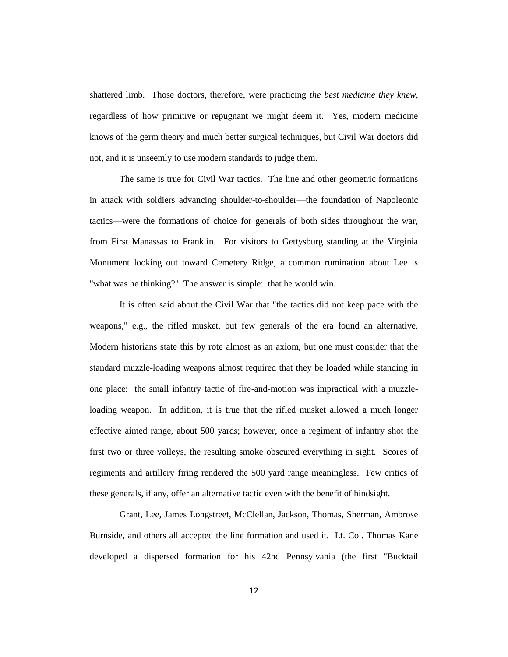shattered limb. Those doctors, therefore, were practicing *the best medicine they knew*, regardless of how primitive or repugnant we might deem it. Yes, modern medicine knows of the germ theory and much better surgical techniques, but Civil War doctors did not, and it is unseemly to use modern standards to judge them.

The same is true for Civil War tactics. The line and other geometric formations in attack with soldiers advancing shoulder-to-shoulder—the foundation of Napoleonic tactics—were the formations of choice for generals of both sides throughout the war, from First Manassas to Franklin. For visitors to Gettysburg standing at the Virginia Monument looking out toward Cemetery Ridge, a common rumination about Lee is "what was he thinking?" The answer is simple: that he would win.

It is often said about the Civil War that "the tactics did not keep pace with the weapons," e.g., the rifled musket, but few generals of the era found an alternative. Modern historians state this by rote almost as an axiom, but one must consider that the standard muzzle-loading weapons almost required that they be loaded while standing in one place: the small infantry tactic of fire-and-motion was impractical with a muzzleloading weapon. In addition, it is true that the rifled musket allowed a much longer effective aimed range, about 500 yards; however, once a regiment of infantry shot the first two or three volleys, the resulting smoke obscured everything in sight. Scores of regiments and artillery firing rendered the 500 yard range meaningless. Few critics of these generals, if any, offer an alternative tactic even with the benefit of hindsight.

Grant, Lee, James Longstreet, McClellan, Jackson, Thomas, Sherman, Ambrose Burnside, and others all accepted the line formation and used it. Lt. Col. Thomas Kane developed a dispersed formation for his 42nd Pennsylvania (the first "Bucktail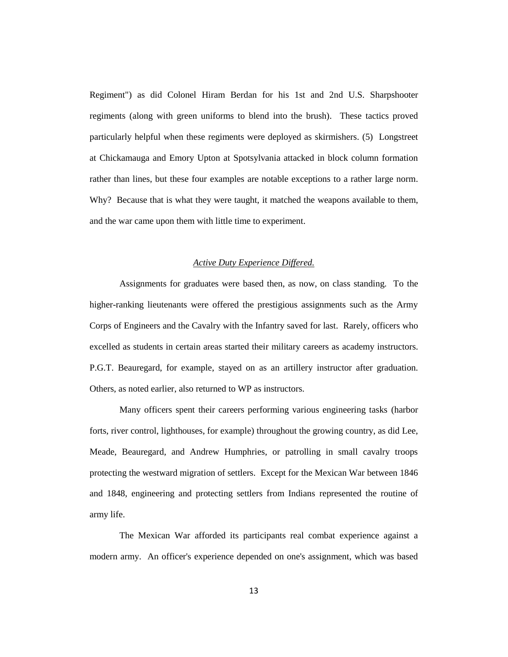Regiment") as did Colonel Hiram Berdan for his 1st and 2nd U.S. Sharpshooter regiments (along with green uniforms to blend into the brush). These tactics proved particularly helpful when these regiments were deployed as skirmishers. (5) Longstreet at Chickamauga and Emory Upton at Spotsylvania attacked in block column formation rather than lines, but these four examples are notable exceptions to a rather large norm. Why? Because that is what they were taught, it matched the weapons available to them, and the war came upon them with little time to experiment.

### *Active Duty Experience Differed.*

Assignments for graduates were based then, as now, on class standing. To the higher-ranking lieutenants were offered the prestigious assignments such as the Army Corps of Engineers and the Cavalry with the Infantry saved for last. Rarely, officers who excelled as students in certain areas started their military careers as academy instructors. P.G.T. Beauregard, for example, stayed on as an artillery instructor after graduation. Others, as noted earlier, also returned to WP as instructors.

Many officers spent their careers performing various engineering tasks (harbor forts, river control, lighthouses, for example) throughout the growing country, as did Lee, Meade, Beauregard, and Andrew Humphries, or patrolling in small cavalry troops protecting the westward migration of settlers. Except for the Mexican War between 1846 and 1848, engineering and protecting settlers from Indians represented the routine of army life.

The Mexican War afforded its participants real combat experience against a modern army. An officer's experience depended on one's assignment, which was based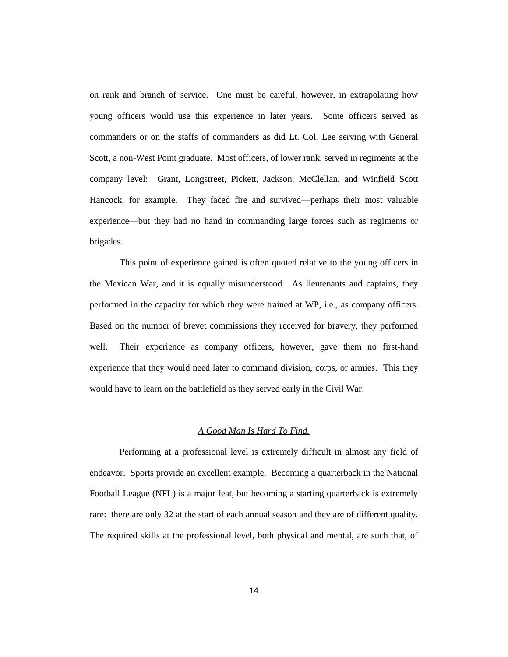on rank and branch of service. One must be careful, however, in extrapolating how young officers would use this experience in later years. Some officers served as commanders or on the staffs of commanders as did Lt. Col. Lee serving with General Scott, a non-West Point graduate. Most officers, of lower rank, served in regiments at the company level: Grant, Longstreet, Pickett, Jackson, McClellan, and Winfield Scott Hancock, for example. They faced fire and survived—perhaps their most valuable experience—but they had no hand in commanding large forces such as regiments or brigades.

This point of experience gained is often quoted relative to the young officers in the Mexican War, and it is equally misunderstood. As lieutenants and captains, they performed in the capacity for which they were trained at WP, i.e., as company officers. Based on the number of brevet commissions they received for bravery, they performed well. Their experience as company officers, however, gave them no first-hand experience that they would need later to command division, corps, or armies. This they would have to learn on the battlefield as they served early in the Civil War.

## *A Good Man Is Hard To Find.*

Performing at a professional level is extremely difficult in almost any field of endeavor. Sports provide an excellent example. Becoming a quarterback in the National Football League (NFL) is a major feat, but becoming a starting quarterback is extremely rare: there are only 32 at the start of each annual season and they are of different quality. The required skills at the professional level, both physical and mental, are such that, of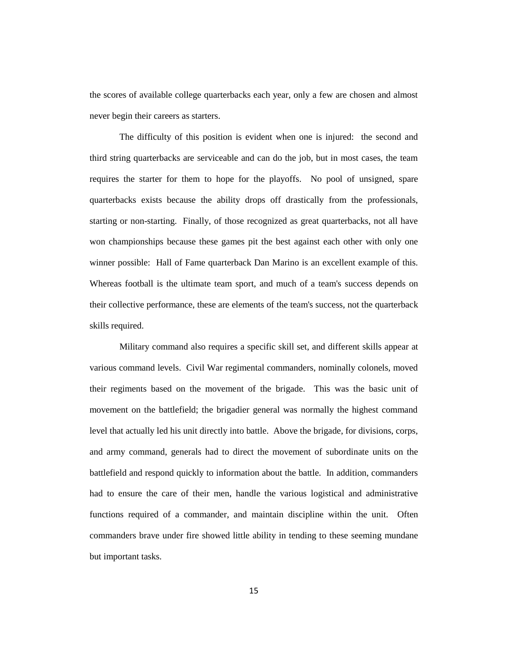the scores of available college quarterbacks each year, only a few are chosen and almost never begin their careers as starters.

The difficulty of this position is evident when one is injured: the second and third string quarterbacks are serviceable and can do the job, but in most cases, the team requires the starter for them to hope for the playoffs. No pool of unsigned, spare quarterbacks exists because the ability drops off drastically from the professionals, starting or non-starting. Finally, of those recognized as great quarterbacks, not all have won championships because these games pit the best against each other with only one winner possible: Hall of Fame quarterback Dan Marino is an excellent example of this. Whereas football is the ultimate team sport, and much of a team's success depends on their collective performance, these are elements of the team's success, not the quarterback skills required.

Military command also requires a specific skill set, and different skills appear at various command levels. Civil War regimental commanders, nominally colonels, moved their regiments based on the movement of the brigade. This was the basic unit of movement on the battlefield; the brigadier general was normally the highest command level that actually led his unit directly into battle. Above the brigade, for divisions, corps, and army command, generals had to direct the movement of subordinate units on the battlefield and respond quickly to information about the battle. In addition, commanders had to ensure the care of their men, handle the various logistical and administrative functions required of a commander, and maintain discipline within the unit. Often commanders brave under fire showed little ability in tending to these seeming mundane but important tasks.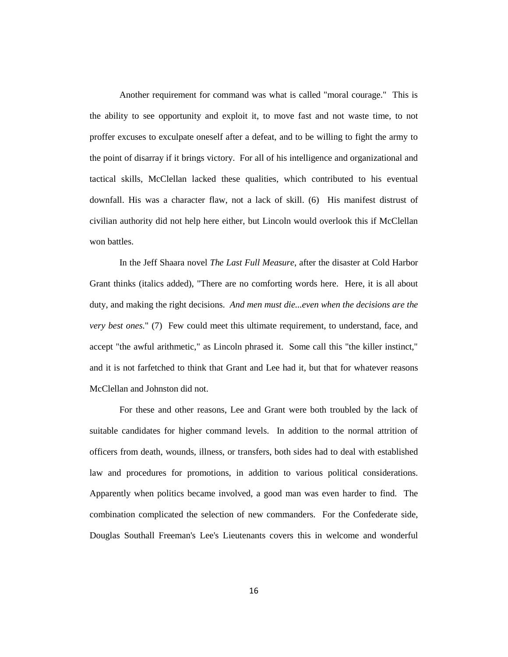Another requirement for command was what is called "moral courage." This is the ability to see opportunity and exploit it, to move fast and not waste time, to not proffer excuses to exculpate oneself after a defeat, and to be willing to fight the army to the point of disarray if it brings victory. For all of his intelligence and organizational and tactical skills, McClellan lacked these qualities, which contributed to his eventual downfall. His was a character flaw, not a lack of skill. (6) His manifest distrust of civilian authority did not help here either, but Lincoln would overlook this if McClellan won battles.

In the Jeff Shaara novel *The Last Full Measure*, after the disaster at Cold Harbor Grant thinks (italics added), "There are no comforting words here. Here, it is all about duty, and making the right decisions. *And men must die...even when the decisions are the very best ones.*" (7) Few could meet this ultimate requirement, to understand, face, and accept "the awful arithmetic," as Lincoln phrased it. Some call this "the killer instinct," and it is not farfetched to think that Grant and Lee had it, but that for whatever reasons McClellan and Johnston did not.

For these and other reasons, Lee and Grant were both troubled by the lack of suitable candidates for higher command levels. In addition to the normal attrition of officers from death, wounds, illness, or transfers, both sides had to deal with established law and procedures for promotions, in addition to various political considerations. Apparently when politics became involved, a good man was even harder to find. The combination complicated the selection of new commanders. For the Confederate side, Douglas Southall Freeman's Lee's Lieutenants covers this in welcome and wonderful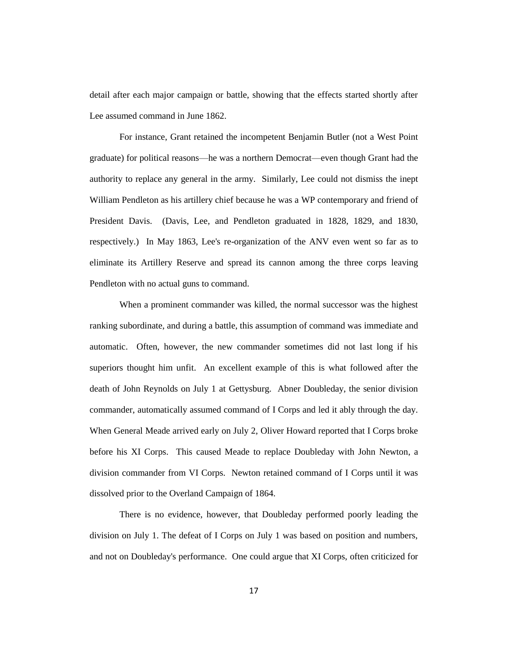detail after each major campaign or battle, showing that the effects started shortly after Lee assumed command in June 1862.

For instance, Grant retained the incompetent Benjamin Butler (not a West Point graduate) for political reasons—he was a northern Democrat—even though Grant had the authority to replace any general in the army. Similarly, Lee could not dismiss the inept William Pendleton as his artillery chief because he was a WP contemporary and friend of President Davis. (Davis, Lee, and Pendleton graduated in 1828, 1829, and 1830, respectively.) In May 1863, Lee's re-organization of the ANV even went so far as to eliminate its Artillery Reserve and spread its cannon among the three corps leaving Pendleton with no actual guns to command.

When a prominent commander was killed, the normal successor was the highest ranking subordinate, and during a battle, this assumption of command was immediate and automatic. Often, however, the new commander sometimes did not last long if his superiors thought him unfit. An excellent example of this is what followed after the death of John Reynolds on July 1 at Gettysburg. Abner Doubleday, the senior division commander, automatically assumed command of I Corps and led it ably through the day. When General Meade arrived early on July 2, Oliver Howard reported that I Corps broke before his XI Corps. This caused Meade to replace Doubleday with John Newton, a division commander from VI Corps. Newton retained command of I Corps until it was dissolved prior to the Overland Campaign of 1864.

There is no evidence, however, that Doubleday performed poorly leading the division on July 1. The defeat of I Corps on July 1 was based on position and numbers, and not on Doubleday's performance. One could argue that XI Corps, often criticized for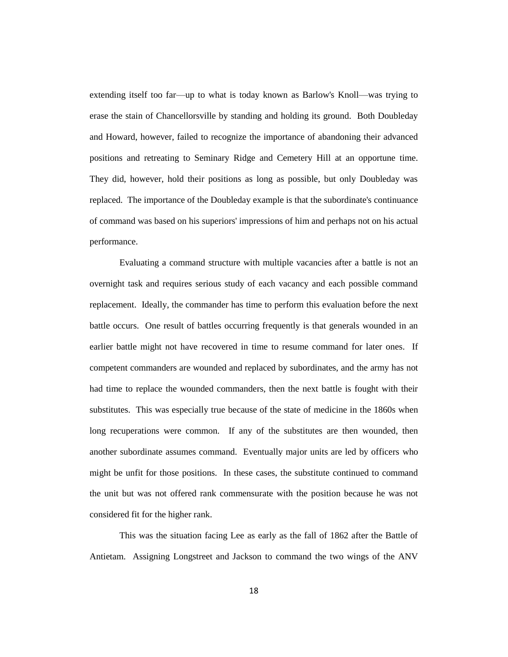extending itself too far—up to what is today known as Barlow's Knoll—was trying to erase the stain of Chancellorsville by standing and holding its ground. Both Doubleday and Howard, however, failed to recognize the importance of abandoning their advanced positions and retreating to Seminary Ridge and Cemetery Hill at an opportune time. They did, however, hold their positions as long as possible, but only Doubleday was replaced. The importance of the Doubleday example is that the subordinate's continuance of command was based on his superiors' impressions of him and perhaps not on his actual performance.

Evaluating a command structure with multiple vacancies after a battle is not an overnight task and requires serious study of each vacancy and each possible command replacement. Ideally, the commander has time to perform this evaluation before the next battle occurs. One result of battles occurring frequently is that generals wounded in an earlier battle might not have recovered in time to resume command for later ones. If competent commanders are wounded and replaced by subordinates, and the army has not had time to replace the wounded commanders, then the next battle is fought with their substitutes. This was especially true because of the state of medicine in the 1860s when long recuperations were common. If any of the substitutes are then wounded, then another subordinate assumes command. Eventually major units are led by officers who might be unfit for those positions. In these cases, the substitute continued to command the unit but was not offered rank commensurate with the position because he was not considered fit for the higher rank.

This was the situation facing Lee as early as the fall of 1862 after the Battle of Antietam. Assigning Longstreet and Jackson to command the two wings of the ANV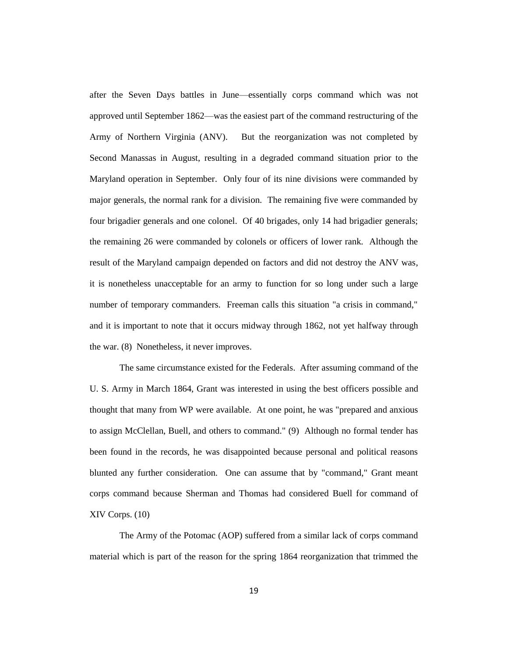after the Seven Days battles in June—essentially corps command which was not approved until September 1862—was the easiest part of the command restructuring of the Army of Northern Virginia (ANV). But the reorganization was not completed by Second Manassas in August, resulting in a degraded command situation prior to the Maryland operation in September. Only four of its nine divisions were commanded by major generals, the normal rank for a division. The remaining five were commanded by four brigadier generals and one colonel. Of 40 brigades, only 14 had brigadier generals; the remaining 26 were commanded by colonels or officers of lower rank. Although the result of the Maryland campaign depended on factors and did not destroy the ANV was, it is nonetheless unacceptable for an army to function for so long under such a large number of temporary commanders. Freeman calls this situation "a crisis in command," and it is important to note that it occurs midway through 1862, not yet halfway through the war. (8) Nonetheless, it never improves.

The same circumstance existed for the Federals. After assuming command of the U. S. Army in March 1864, Grant was interested in using the best officers possible and thought that many from WP were available. At one point, he was "prepared and anxious to assign McClellan, Buell, and others to command." (9) Although no formal tender has been found in the records, he was disappointed because personal and political reasons blunted any further consideration. One can assume that by "command," Grant meant corps command because Sherman and Thomas had considered Buell for command of XIV Corps. (10)

The Army of the Potomac (AOP) suffered from a similar lack of corps command material which is part of the reason for the spring 1864 reorganization that trimmed the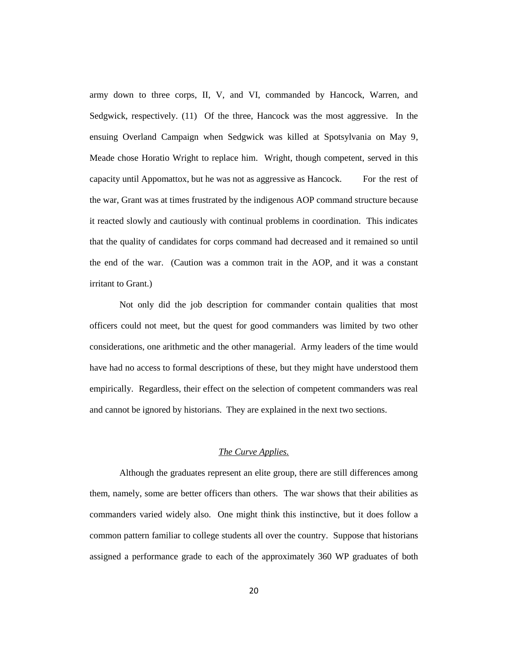army down to three corps, II, V, and VI, commanded by Hancock, Warren, and Sedgwick, respectively. (11) Of the three, Hancock was the most aggressive. In the ensuing Overland Campaign when Sedgwick was killed at Spotsylvania on May 9, Meade chose Horatio Wright to replace him. Wright, though competent, served in this capacity until Appomattox, but he was not as aggressive as Hancock. For the rest of the war, Grant was at times frustrated by the indigenous AOP command structure because it reacted slowly and cautiously with continual problems in coordination. This indicates that the quality of candidates for corps command had decreased and it remained so until the end of the war. (Caution was a common trait in the AOP, and it was a constant irritant to Grant.)

Not only did the job description for commander contain qualities that most officers could not meet, but the quest for good commanders was limited by two other considerations, one arithmetic and the other managerial. Army leaders of the time would have had no access to formal descriptions of these, but they might have understood them empirically. Regardless, their effect on the selection of competent commanders was real and cannot be ignored by historians. They are explained in the next two sections.

# *The Curve Applies.*

Although the graduates represent an elite group, there are still differences among them, namely, some are better officers than others. The war shows that their abilities as commanders varied widely also. One might think this instinctive, but it does follow a common pattern familiar to college students all over the country. Suppose that historians assigned a performance grade to each of the approximately 360 WP graduates of both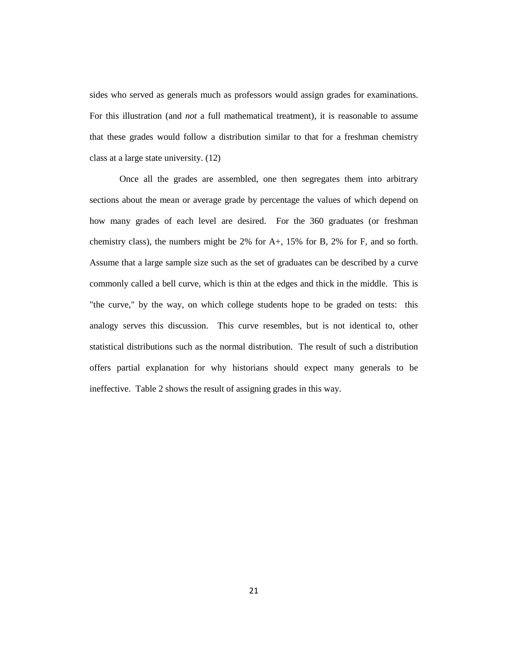sides who served as generals much as professors would assign grades for examinations. For this illustration (and *not* a full mathematical treatment), it is reasonable to assume that these grades would follow a distribution similar to that for a freshman chemistry class at a large state university. (12)

Once all the grades are assembled, one then segregates them into arbitrary sections about the mean or average grade by percentage the values of which depend on how many grades of each level are desired. For the 360 graduates (or freshman chemistry class), the numbers might be 2% for A+, 15% for B, 2% for F, and so forth. Assume that a large sample size such as the set of graduates can be described by a curve commonly called a bell curve, which is thin at the edges and thick in the middle. This is "the curve," by the way, on which college students hope to be graded on tests: this analogy serves this discussion. This curve resembles, but is not identical to, other statistical distributions such as the normal distribution. The result of such a distribution offers partial explanation for why historians should expect many generals to be ineffective. Table 2 shows the result of assigning grades in this way.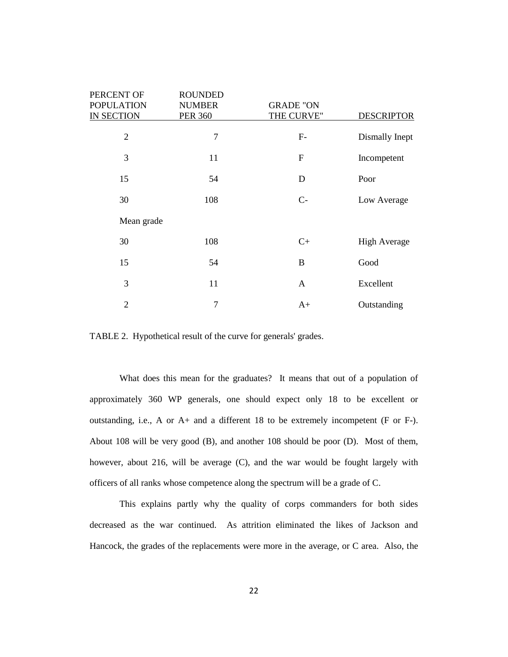| PERCENT OF        | <b>ROUNDED</b> |                  |                     |
|-------------------|----------------|------------------|---------------------|
| <b>POPULATION</b> | <b>NUMBER</b>  | <b>GRADE "ON</b> |                     |
| <b>IN SECTION</b> | <b>PER 360</b> | THE CURVE"       | <b>DESCRIPTOR</b>   |
| $\overline{2}$    | $\overline{7}$ | $F-$             | Dismally Inept      |
| 3                 | 11             | $\boldsymbol{F}$ | Incompetent         |
| 15                | 54             | D                | Poor                |
| 30                | 108            | $C-$             | Low Average         |
| Mean grade        |                |                  |                     |
| 30                | 108            | $C+$             | <b>High Average</b> |
| 15                | 54             | B                | Good                |
| 3                 | 11             | $\mathbf{A}$     | Excellent           |
| $\overline{2}$    | $\overline{7}$ | $A+$             | Outstanding         |

TABLE 2. Hypothetical result of the curve for generals' grades.

What does this mean for the graduates? It means that out of a population of approximately 360 WP generals, one should expect only 18 to be excellent or outstanding, i.e., A or A+ and a different 18 to be extremely incompetent (F or F-). About 108 will be very good (B), and another 108 should be poor (D). Most of them, however, about 216, will be average (C), and the war would be fought largely with officers of all ranks whose competence along the spectrum will be a grade of C.

This explains partly why the quality of corps commanders for both sides decreased as the war continued. As attrition eliminated the likes of Jackson and Hancock, the grades of the replacements were more in the average, or C area. Also, the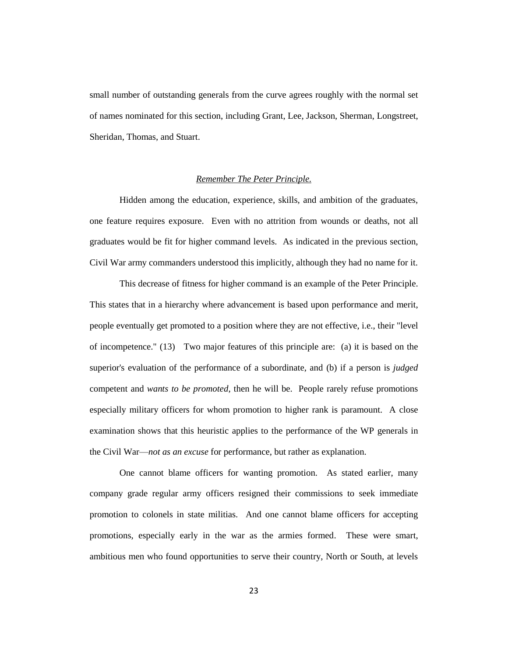small number of outstanding generals from the curve agrees roughly with the normal set of names nominated for this section, including Grant, Lee, Jackson, Sherman, Longstreet, Sheridan, Thomas, and Stuart.

## *Remember The Peter Principle.*

Hidden among the education, experience, skills, and ambition of the graduates, one feature requires exposure. Even with no attrition from wounds or deaths, not all graduates would be fit for higher command levels. As indicated in the previous section, Civil War army commanders understood this implicitly, although they had no name for it.

This decrease of fitness for higher command is an example of the Peter Principle. This states that in a hierarchy where advancement is based upon performance and merit, people eventually get promoted to a position where they are not effective, i.e., their "level of incompetence." (13) Two major features of this principle are: (a) it is based on the superior's evaluation of the performance of a subordinate, and (b) if a person is *judged* competent and *wants to be promoted*, then he will be. People rarely refuse promotions especially military officers for whom promotion to higher rank is paramount. A close examination shows that this heuristic applies to the performance of the WP generals in the Civil War—*not as an excuse* for performance, but rather as explanation.

One cannot blame officers for wanting promotion. As stated earlier, many company grade regular army officers resigned their commissions to seek immediate promotion to colonels in state militias. And one cannot blame officers for accepting promotions, especially early in the war as the armies formed. These were smart, ambitious men who found opportunities to serve their country, North or South, at levels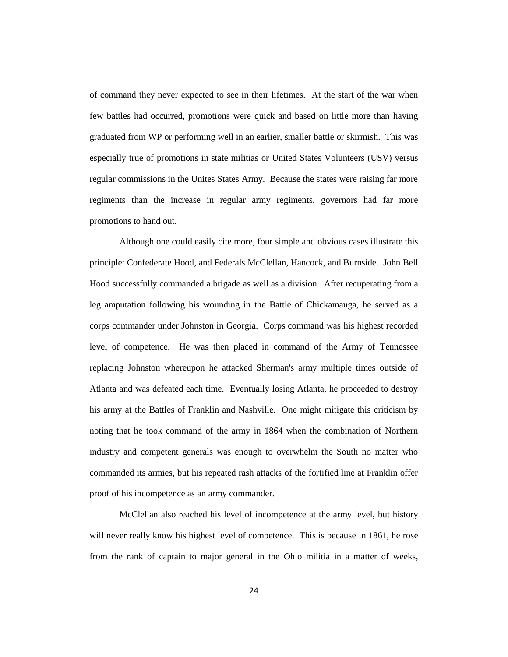of command they never expected to see in their lifetimes. At the start of the war when few battles had occurred, promotions were quick and based on little more than having graduated from WP or performing well in an earlier, smaller battle or skirmish. This was especially true of promotions in state militias or United States Volunteers (USV) versus regular commissions in the Unites States Army. Because the states were raising far more regiments than the increase in regular army regiments, governors had far more promotions to hand out.

Although one could easily cite more, four simple and obvious cases illustrate this principle: Confederate Hood, and Federals McClellan, Hancock, and Burnside. John Bell Hood successfully commanded a brigade as well as a division. After recuperating from a leg amputation following his wounding in the Battle of Chickamauga, he served as a corps commander under Johnston in Georgia. Corps command was his highest recorded level of competence. He was then placed in command of the Army of Tennessee replacing Johnston whereupon he attacked Sherman's army multiple times outside of Atlanta and was defeated each time. Eventually losing Atlanta, he proceeded to destroy his army at the Battles of Franklin and Nashville. One might mitigate this criticism by noting that he took command of the army in 1864 when the combination of Northern industry and competent generals was enough to overwhelm the South no matter who commanded its armies, but his repeated rash attacks of the fortified line at Franklin offer proof of his incompetence as an army commander.

McClellan also reached his level of incompetence at the army level, but history will never really know his highest level of competence. This is because in 1861, he rose from the rank of captain to major general in the Ohio militia in a matter of weeks,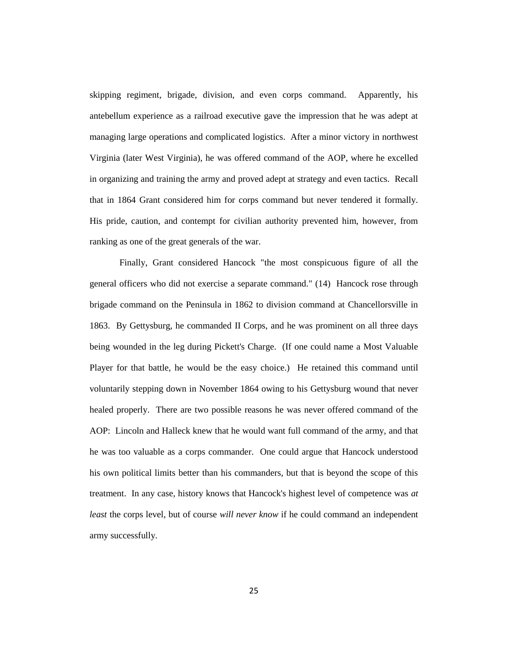skipping regiment, brigade, division, and even corps command. Apparently, his antebellum experience as a railroad executive gave the impression that he was adept at managing large operations and complicated logistics. After a minor victory in northwest Virginia (later West Virginia), he was offered command of the AOP, where he excelled in organizing and training the army and proved adept at strategy and even tactics. Recall that in 1864 Grant considered him for corps command but never tendered it formally. His pride, caution, and contempt for civilian authority prevented him, however, from ranking as one of the great generals of the war.

Finally, Grant considered Hancock "the most conspicuous figure of all the general officers who did not exercise a separate command." (14) Hancock rose through brigade command on the Peninsula in 1862 to division command at Chancellorsville in 1863. By Gettysburg, he commanded II Corps, and he was prominent on all three days being wounded in the leg during Pickett's Charge. (If one could name a Most Valuable Player for that battle, he would be the easy choice.) He retained this command until voluntarily stepping down in November 1864 owing to his Gettysburg wound that never healed properly. There are two possible reasons he was never offered command of the AOP: Lincoln and Halleck knew that he would want full command of the army, and that he was too valuable as a corps commander. One could argue that Hancock understood his own political limits better than his commanders, but that is beyond the scope of this treatment. In any case, history knows that Hancock's highest level of competence was *at least* the corps level, but of course *will never know* if he could command an independent army successfully.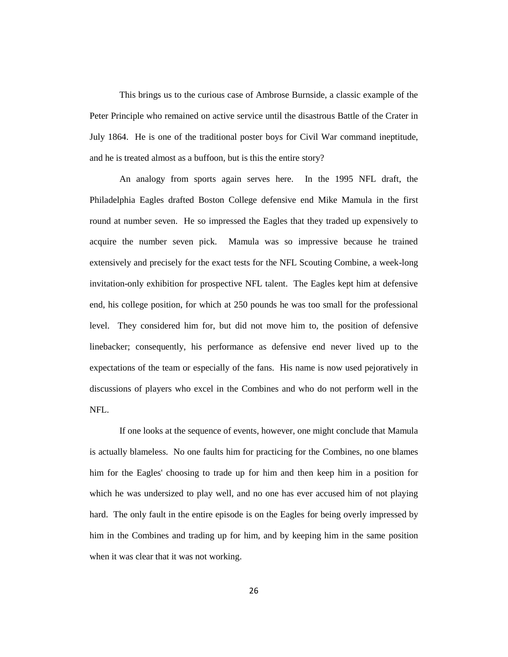This brings us to the curious case of Ambrose Burnside, a classic example of the Peter Principle who remained on active service until the disastrous Battle of the Crater in July 1864. He is one of the traditional poster boys for Civil War command ineptitude, and he is treated almost as a buffoon, but is this the entire story?

An analogy from sports again serves here. In the 1995 NFL draft, the Philadelphia Eagles drafted Boston College defensive end Mike Mamula in the first round at number seven. He so impressed the Eagles that they traded up expensively to acquire the number seven pick. Mamula was so impressive because he trained extensively and precisely for the exact tests for the NFL Scouting Combine, a week-long invitation-only exhibition for prospective NFL talent. The Eagles kept him at defensive end, his college position, for which at 250 pounds he was too small for the professional level. They considered him for, but did not move him to, the position of defensive linebacker; consequently, his performance as defensive end never lived up to the expectations of the team or especially of the fans. His name is now used pejoratively in discussions of players who excel in the Combines and who do not perform well in the NFL.

If one looks at the sequence of events, however, one might conclude that Mamula is actually blameless. No one faults him for practicing for the Combines, no one blames him for the Eagles' choosing to trade up for him and then keep him in a position for which he was undersized to play well, and no one has ever accused him of not playing hard. The only fault in the entire episode is on the Eagles for being overly impressed by him in the Combines and trading up for him, and by keeping him in the same position when it was clear that it was not working.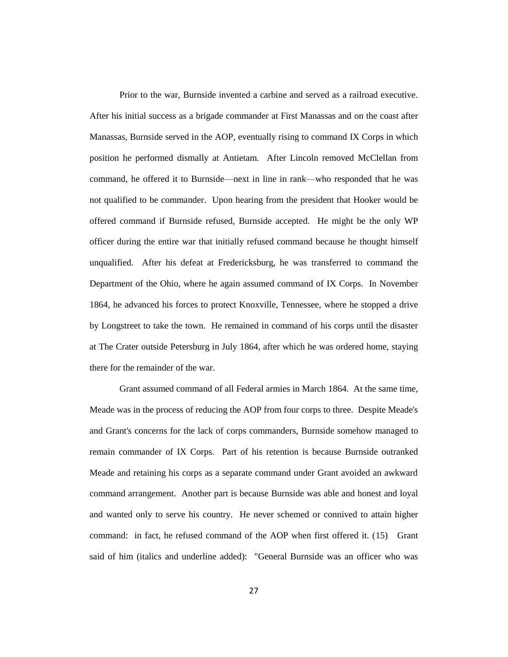Prior to the war, Burnside invented a carbine and served as a railroad executive. After his initial success as a brigade commander at First Manassas and on the coast after Manassas, Burnside served in the AOP, eventually rising to command IX Corps in which position he performed dismally at Antietam. After Lincoln removed McClellan from command, he offered it to Burnside—next in line in rank—who responded that he was not qualified to be commander. Upon hearing from the president that Hooker would be offered command if Burnside refused, Burnside accepted. He might be the only WP officer during the entire war that initially refused command because he thought himself unqualified. After his defeat at Fredericksburg, he was transferred to command the Department of the Ohio, where he again assumed command of IX Corps. In November 1864, he advanced his forces to protect Knoxville, Tennessee, where he stopped a drive by Longstreet to take the town. He remained in command of his corps until the disaster at The Crater outside Petersburg in July 1864, after which he was ordered home, staying there for the remainder of the war.

Grant assumed command of all Federal armies in March 1864. At the same time, Meade was in the process of reducing the AOP from four corps to three. Despite Meade's and Grant's concerns for the lack of corps commanders, Burnside somehow managed to remain commander of IX Corps. Part of his retention is because Burnside outranked Meade and retaining his corps as a separate command under Grant avoided an awkward command arrangement. Another part is because Burnside was able and honest and loyal and wanted only to serve his country. He never schemed or connived to attain higher command: in fact, he refused command of the AOP when first offered it. (15) Grant said of him (italics and underline added): "General Burnside was an officer who was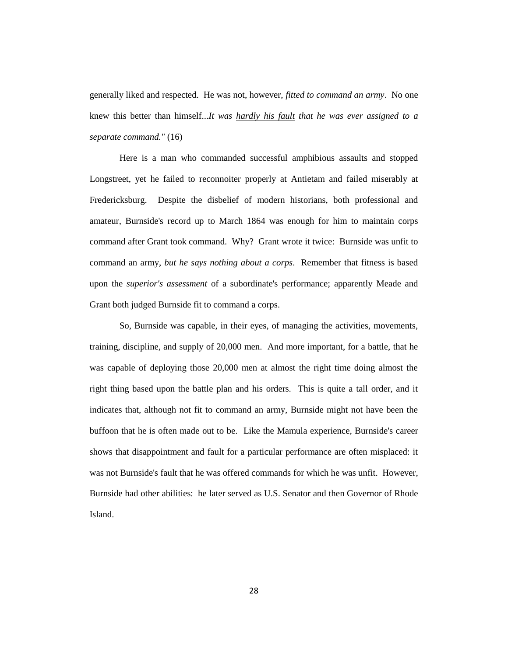generally liked and respected. He was not, however, *fitted to command an army*. No one knew this better than himself...*It was hardly his fault that he was ever assigned to a separate command."* (16)

Here is a man who commanded successful amphibious assaults and stopped Longstreet, yet he failed to reconnoiter properly at Antietam and failed miserably at Fredericksburg. Despite the disbelief of modern historians, both professional and amateur, Burnside's record up to March 1864 was enough for him to maintain corps command after Grant took command. Why? Grant wrote it twice: Burnside was unfit to command an army, *but he says nothing about a corps*. Remember that fitness is based upon the *superior's assessment* of a subordinate's performance; apparently Meade and Grant both judged Burnside fit to command a corps.

So, Burnside was capable, in their eyes, of managing the activities, movements, training, discipline, and supply of 20,000 men. And more important, for a battle, that he was capable of deploying those 20,000 men at almost the right time doing almost the right thing based upon the battle plan and his orders. This is quite a tall order, and it indicates that, although not fit to command an army, Burnside might not have been the buffoon that he is often made out to be. Like the Mamula experience, Burnside's career shows that disappointment and fault for a particular performance are often misplaced: it was not Burnside's fault that he was offered commands for which he was unfit. However, Burnside had other abilities: he later served as U.S. Senator and then Governor of Rhode Island.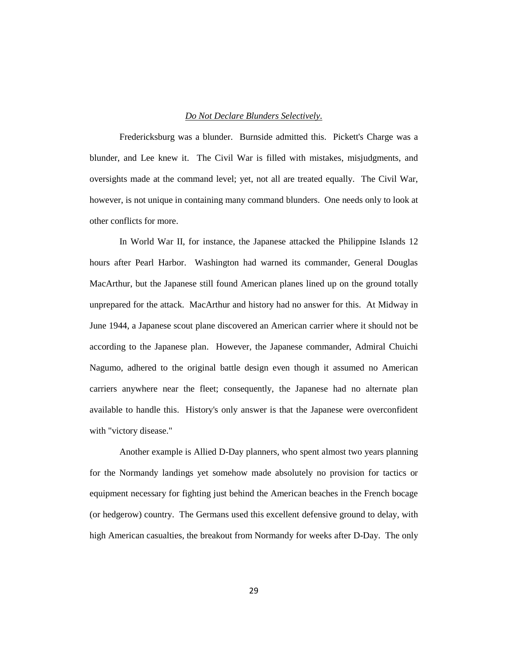## *Do Not Declare Blunders Selectively.*

Fredericksburg was a blunder. Burnside admitted this. Pickett's Charge was a blunder, and Lee knew it. The Civil War is filled with mistakes, misjudgments, and oversights made at the command level; yet, not all are treated equally. The Civil War, however, is not unique in containing many command blunders. One needs only to look at other conflicts for more.

In World War II, for instance, the Japanese attacked the Philippine Islands 12 hours after Pearl Harbor. Washington had warned its commander, General Douglas MacArthur, but the Japanese still found American planes lined up on the ground totally unprepared for the attack. MacArthur and history had no answer for this. At Midway in June 1944, a Japanese scout plane discovered an American carrier where it should not be according to the Japanese plan. However, the Japanese commander, Admiral Chuichi Nagumo, adhered to the original battle design even though it assumed no American carriers anywhere near the fleet; consequently, the Japanese had no alternate plan available to handle this. History's only answer is that the Japanese were overconfident with "victory disease."

Another example is Allied D-Day planners, who spent almost two years planning for the Normandy landings yet somehow made absolutely no provision for tactics or equipment necessary for fighting just behind the American beaches in the French bocage (or hedgerow) country. The Germans used this excellent defensive ground to delay, with high American casualties, the breakout from Normandy for weeks after D-Day. The only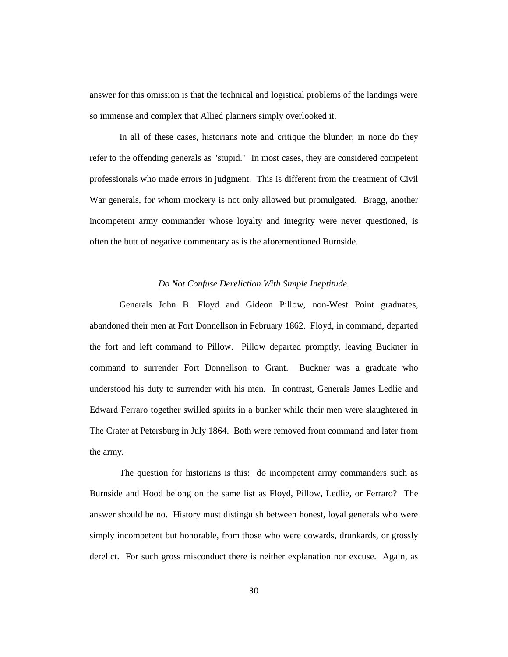answer for this omission is that the technical and logistical problems of the landings were so immense and complex that Allied planners simply overlooked it.

In all of these cases, historians note and critique the blunder; in none do they refer to the offending generals as "stupid." In most cases, they are considered competent professionals who made errors in judgment. This is different from the treatment of Civil War generals, for whom mockery is not only allowed but promulgated. Bragg, another incompetent army commander whose loyalty and integrity were never questioned, is often the butt of negative commentary as is the aforementioned Burnside.

### *Do Not Confuse Dereliction With Simple Ineptitude.*

Generals John B. Floyd and Gideon Pillow, non-West Point graduates, abandoned their men at Fort Donnellson in February 1862. Floyd, in command, departed the fort and left command to Pillow. Pillow departed promptly, leaving Buckner in command to surrender Fort Donnellson to Grant. Buckner was a graduate who understood his duty to surrender with his men. In contrast, Generals James Ledlie and Edward Ferraro together swilled spirits in a bunker while their men were slaughtered in The Crater at Petersburg in July 1864. Both were removed from command and later from the army.

The question for historians is this: do incompetent army commanders such as Burnside and Hood belong on the same list as Floyd, Pillow, Ledlie, or Ferraro? The answer should be no. History must distinguish between honest, loyal generals who were simply incompetent but honorable, from those who were cowards, drunkards, or grossly derelict. For such gross misconduct there is neither explanation nor excuse. Again, as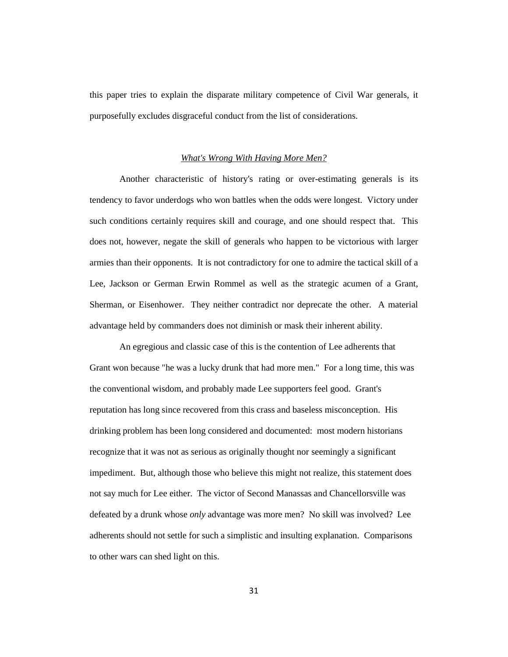this paper tries to explain the disparate military competence of Civil War generals, it purposefully excludes disgraceful conduct from the list of considerations.

### *What's Wrong With Having More Men?*

Another characteristic of history's rating or over-estimating generals is its tendency to favor underdogs who won battles when the odds were longest. Victory under such conditions certainly requires skill and courage, and one should respect that. This does not, however, negate the skill of generals who happen to be victorious with larger armies than their opponents. It is not contradictory for one to admire the tactical skill of a Lee, Jackson or German Erwin Rommel as well as the strategic acumen of a Grant, Sherman, or Eisenhower. They neither contradict nor deprecate the other. A material advantage held by commanders does not diminish or mask their inherent ability.

An egregious and classic case of this is the contention of Lee adherents that Grant won because "he was a lucky drunk that had more men." For a long time, this was the conventional wisdom, and probably made Lee supporters feel good. Grant's reputation has long since recovered from this crass and baseless misconception. His drinking problem has been long considered and documented: most modern historians recognize that it was not as serious as originally thought nor seemingly a significant impediment. But, although those who believe this might not realize, this statement does not say much for Lee either. The victor of Second Manassas and Chancellorsville was defeated by a drunk whose *only* advantage was more men? No skill was involved? Lee adherents should not settle for such a simplistic and insulting explanation. Comparisons to other wars can shed light on this.

31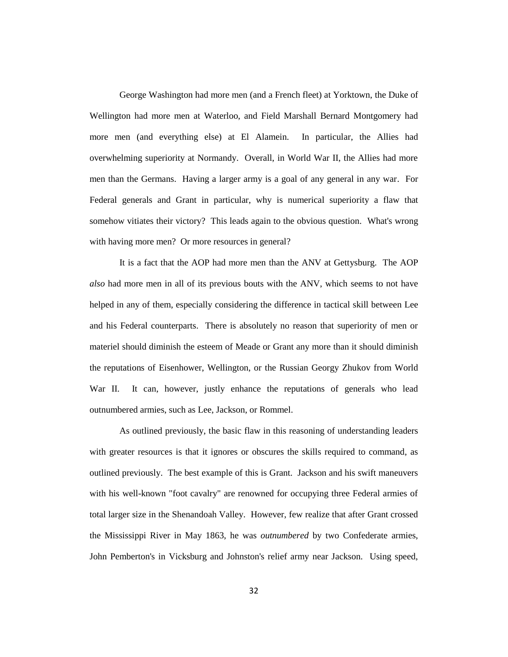George Washington had more men (and a French fleet) at Yorktown, the Duke of Wellington had more men at Waterloo, and Field Marshall Bernard Montgomery had more men (and everything else) at El Alamein. In particular, the Allies had overwhelming superiority at Normandy. Overall, in World War II, the Allies had more men than the Germans. Having a larger army is a goal of any general in any war. For Federal generals and Grant in particular, why is numerical superiority a flaw that somehow vitiates their victory? This leads again to the obvious question. What's wrong with having more men? Or more resources in general?

It is a fact that the AOP had more men than the ANV at Gettysburg. The AOP *also* had more men in all of its previous bouts with the ANV, which seems to not have helped in any of them, especially considering the difference in tactical skill between Lee and his Federal counterparts. There is absolutely no reason that superiority of men or materiel should diminish the esteem of Meade or Grant any more than it should diminish the reputations of Eisenhower, Wellington, or the Russian Georgy Zhukov from World War II. It can, however, justly enhance the reputations of generals who lead outnumbered armies, such as Lee, Jackson, or Rommel.

As outlined previously, the basic flaw in this reasoning of understanding leaders with greater resources is that it ignores or obscures the skills required to command, as outlined previously. The best example of this is Grant. Jackson and his swift maneuvers with his well-known "foot cavalry" are renowned for occupying three Federal armies of total larger size in the Shenandoah Valley. However, few realize that after Grant crossed the Mississippi River in May 1863, he was *outnumbered* by two Confederate armies, John Pemberton's in Vicksburg and Johnston's relief army near Jackson. Using speed,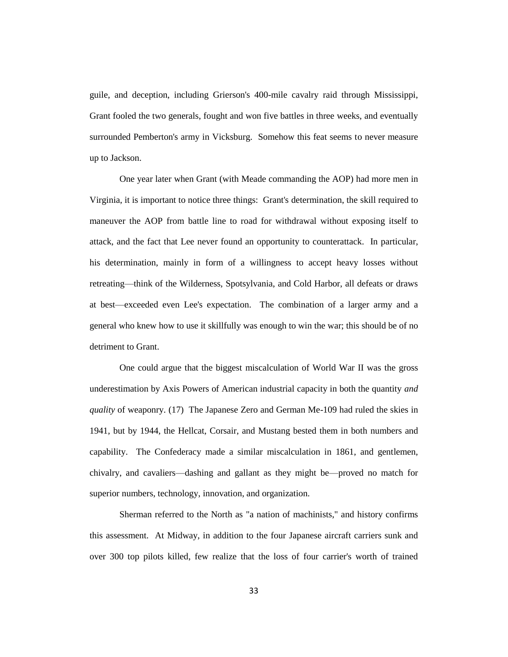guile, and deception, including Grierson's 400-mile cavalry raid through Mississippi, Grant fooled the two generals, fought and won five battles in three weeks, and eventually surrounded Pemberton's army in Vicksburg. Somehow this feat seems to never measure up to Jackson.

One year later when Grant (with Meade commanding the AOP) had more men in Virginia, it is important to notice three things: Grant's determination, the skill required to maneuver the AOP from battle line to road for withdrawal without exposing itself to attack, and the fact that Lee never found an opportunity to counterattack. In particular, his determination, mainly in form of a willingness to accept heavy losses without retreating—think of the Wilderness, Spotsylvania, and Cold Harbor, all defeats or draws at best—exceeded even Lee's expectation. The combination of a larger army and a general who knew how to use it skillfully was enough to win the war; this should be of no detriment to Grant.

One could argue that the biggest miscalculation of World War II was the gross underestimation by Axis Powers of American industrial capacity in both the quantity *and quality* of weaponry. (17) The Japanese Zero and German Me-109 had ruled the skies in 1941, but by 1944, the Hellcat, Corsair, and Mustang bested them in both numbers and capability. The Confederacy made a similar miscalculation in 1861, and gentlemen, chivalry, and cavaliers—dashing and gallant as they might be—proved no match for superior numbers, technology, innovation, and organization.

Sherman referred to the North as "a nation of machinists," and history confirms this assessment. At Midway, in addition to the four Japanese aircraft carriers sunk and over 300 top pilots killed, few realize that the loss of four carrier's worth of trained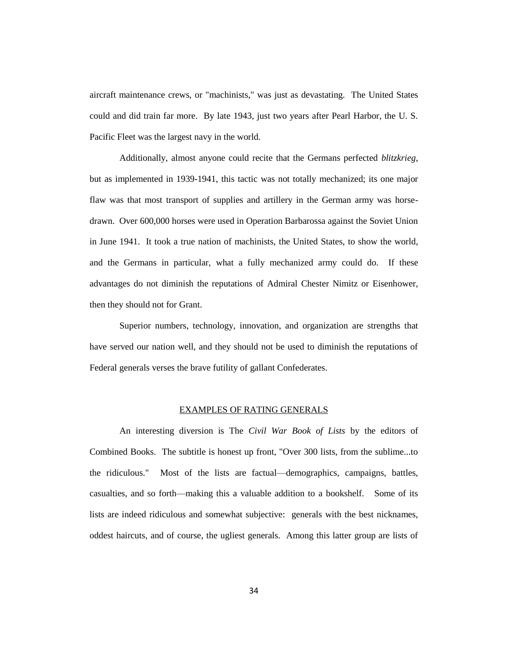aircraft maintenance crews, or "machinists," was just as devastating. The United States could and did train far more. By late 1943, just two years after Pearl Harbor, the U. S. Pacific Fleet was the largest navy in the world.

Additionally, almost anyone could recite that the Germans perfected *blitzkrieg*, but as implemented in 1939-1941, this tactic was not totally mechanized; its one major flaw was that most transport of supplies and artillery in the German army was horsedrawn. Over 600,000 horses were used in Operation Barbarossa against the Soviet Union in June 1941. It took a true nation of machinists, the United States, to show the world, and the Germans in particular, what a fully mechanized army could do. If these advantages do not diminish the reputations of Admiral Chester Nimitz or Eisenhower, then they should not for Grant.

Superior numbers, technology, innovation, and organization are strengths that have served our nation well, and they should not be used to diminish the reputations of Federal generals verses the brave futility of gallant Confederates.

### EXAMPLES OF RATING GENERALS

An interesting diversion is The *Civil War Book of Lists* by the editors of Combined Books. The subtitle is honest up front, "Over 300 lists, from the sublime...to the ridiculous." Most of the lists are factual—demographics, campaigns, battles, casualties, and so forth—making this a valuable addition to a bookshelf. Some of its lists are indeed ridiculous and somewhat subjective: generals with the best nicknames, oddest haircuts, and of course, the ugliest generals. Among this latter group are lists of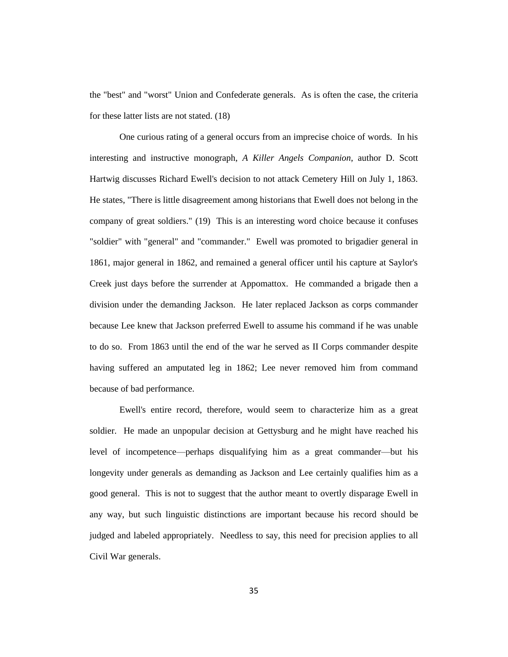the "best" and "worst" Union and Confederate generals. As is often the case, the criteria for these latter lists are not stated. (18)

One curious rating of a general occurs from an imprecise choice of words. In his interesting and instructive monograph, *A Killer Angels Companion*, author D. Scott Hartwig discusses Richard Ewell's decision to not attack Cemetery Hill on July 1, 1863. He states, "There is little disagreement among historians that Ewell does not belong in the company of great soldiers." (19) This is an interesting word choice because it confuses "soldier" with "general" and "commander." Ewell was promoted to brigadier general in 1861, major general in 1862, and remained a general officer until his capture at Saylor's Creek just days before the surrender at Appomattox. He commanded a brigade then a division under the demanding Jackson. He later replaced Jackson as corps commander because Lee knew that Jackson preferred Ewell to assume his command if he was unable to do so. From 1863 until the end of the war he served as II Corps commander despite having suffered an amputated leg in 1862; Lee never removed him from command because of bad performance.

Ewell's entire record, therefore, would seem to characterize him as a great soldier. He made an unpopular decision at Gettysburg and he might have reached his level of incompetence—perhaps disqualifying him as a great commander—but his longevity under generals as demanding as Jackson and Lee certainly qualifies him as a good general. This is not to suggest that the author meant to overtly disparage Ewell in any way, but such linguistic distinctions are important because his record should be judged and labeled appropriately. Needless to say, this need for precision applies to all Civil War generals.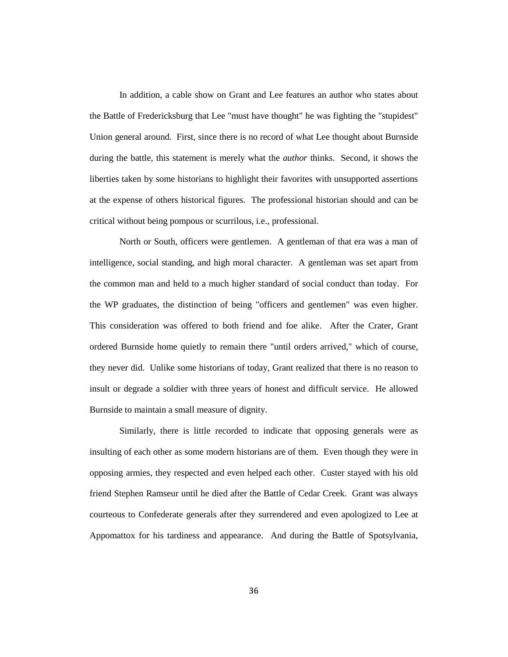In addition, a cable show on Grant and Lee features an author who states about the Battle of Fredericksburg that Lee "must have thought" he was fighting the "stupidest" Union general around. First, since there is no record of what Lee thought about Burnside during the battle, this statement is merely what the *author* thinks. Second, it shows the liberties taken by some historians to highlight their favorites with unsupported assertions at the expense of others historical figures. The professional historian should and can be critical without being pompous or scurrilous, i.e., professional.

North or South, officers were gentlemen. A gentleman of that era was a man of intelligence, social standing, and high moral character. A gentleman was set apart from the common man and held to a much higher standard of social conduct than today. For the WP graduates, the distinction of being "officers and gentlemen" was even higher. This consideration was offered to both friend and foe alike. After the Crater, Grant ordered Burnside home quietly to remain there "until orders arrived," which of course, they never did. Unlike some historians of today, Grant realized that there is no reason to insult or degrade a soldier with three years of honest and difficult service. He allowed Burnside to maintain a small measure of dignity.

Similarly, there is little recorded to indicate that opposing generals were as insulting of each other as some modern historians are of them. Even though they were in opposing armies, they respected and even helped each other. Custer stayed with his old friend Stephen Ramseur until he died after the Battle of Cedar Creek. Grant was always courteous to Confederate generals after they surrendered and even apologized to Lee at Appomattox for his tardiness and appearance. And during the Battle of Spotsylvania,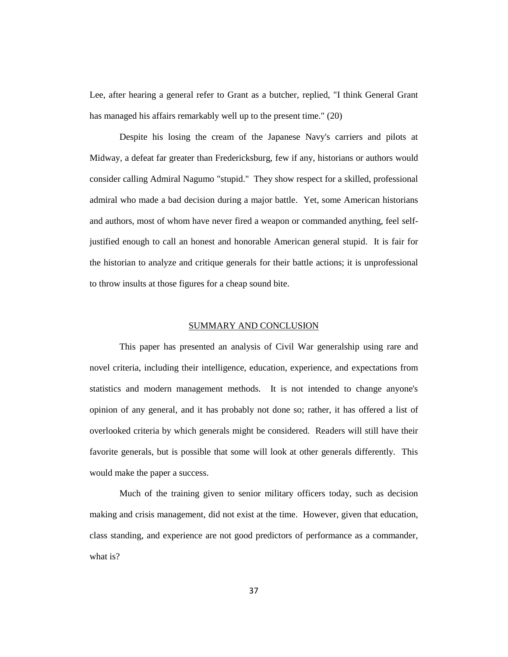Lee, after hearing a general refer to Grant as a butcher, replied, "I think General Grant has managed his affairs remarkably well up to the present time." (20)

Despite his losing the cream of the Japanese Navy's carriers and pilots at Midway, a defeat far greater than Fredericksburg, few if any, historians or authors would consider calling Admiral Nagumo "stupid." They show respect for a skilled, professional admiral who made a bad decision during a major battle. Yet, some American historians and authors, most of whom have never fired a weapon or commanded anything, feel selfjustified enough to call an honest and honorable American general stupid. It is fair for the historian to analyze and critique generals for their battle actions; it is unprofessional to throw insults at those figures for a cheap sound bite.

#### SUMMARY AND CONCLUSION

This paper has presented an analysis of Civil War generalship using rare and novel criteria, including their intelligence, education, experience, and expectations from statistics and modern management methods. It is not intended to change anyone's opinion of any general, and it has probably not done so; rather, it has offered a list of overlooked criteria by which generals might be considered. Readers will still have their favorite generals, but is possible that some will look at other generals differently. This would make the paper a success.

Much of the training given to senior military officers today, such as decision making and crisis management, did not exist at the time. However, given that education, class standing, and experience are not good predictors of performance as a commander, what is?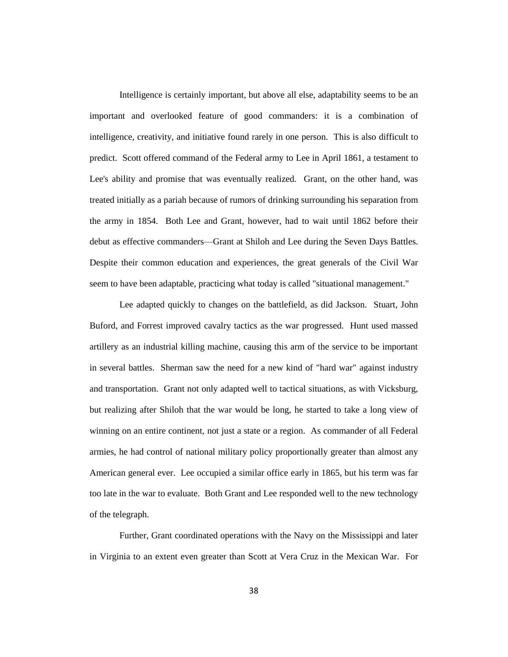Intelligence is certainly important, but above all else, adaptability seems to be an important and overlooked feature of good commanders: it is a combination of intelligence, creativity, and initiative found rarely in one person. This is also difficult to predict. Scott offered command of the Federal army to Lee in April 1861, a testament to Lee's ability and promise that was eventually realized. Grant, on the other hand, was treated initially as a pariah because of rumors of drinking surrounding his separation from the army in 1854. Both Lee and Grant, however, had to wait until 1862 before their debut as effective commanders—Grant at Shiloh and Lee during the Seven Days Battles. Despite their common education and experiences, the great generals of the Civil War seem to have been adaptable, practicing what today is called "situational management."

Lee adapted quickly to changes on the battlefield, as did Jackson. Stuart, John Buford, and Forrest improved cavalry tactics as the war progressed. Hunt used massed artillery as an industrial killing machine, causing this arm of the service to be important in several battles. Sherman saw the need for a new kind of "hard war" against industry and transportation. Grant not only adapted well to tactical situations, as with Vicksburg, but realizing after Shiloh that the war would be long, he started to take a long view of winning on an entire continent, not just a state or a region. As commander of all Federal armies, he had control of national military policy proportionally greater than almost any American general ever. Lee occupied a similar office early in 1865, but his term was far too late in the war to evaluate. Both Grant and Lee responded well to the new technology of the telegraph.

Further, Grant coordinated operations with the Navy on the Mississippi and later in Virginia to an extent even greater than Scott at Vera Cruz in the Mexican War. For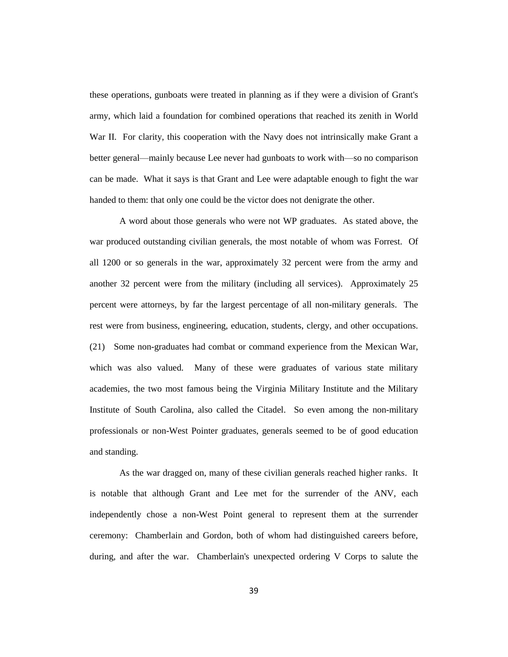these operations, gunboats were treated in planning as if they were a division of Grant's army, which laid a foundation for combined operations that reached its zenith in World War II. For clarity, this cooperation with the Navy does not intrinsically make Grant a better general—mainly because Lee never had gunboats to work with—so no comparison can be made. What it says is that Grant and Lee were adaptable enough to fight the war handed to them: that only one could be the victor does not denigrate the other.

A word about those generals who were not WP graduates. As stated above, the war produced outstanding civilian generals, the most notable of whom was Forrest. Of all 1200 or so generals in the war, approximately 32 percent were from the army and another 32 percent were from the military (including all services). Approximately 25 percent were attorneys, by far the largest percentage of all non-military generals. The rest were from business, engineering, education, students, clergy, and other occupations. (21) Some non-graduates had combat or command experience from the Mexican War, which was also valued. Many of these were graduates of various state military academies, the two most famous being the Virginia Military Institute and the Military Institute of South Carolina, also called the Citadel. So even among the non-military professionals or non-West Pointer graduates, generals seemed to be of good education and standing.

As the war dragged on, many of these civilian generals reached higher ranks. It is notable that although Grant and Lee met for the surrender of the ANV, each independently chose a non-West Point general to represent them at the surrender ceremony: Chamberlain and Gordon, both of whom had distinguished careers before, during, and after the war. Chamberlain's unexpected ordering V Corps to salute the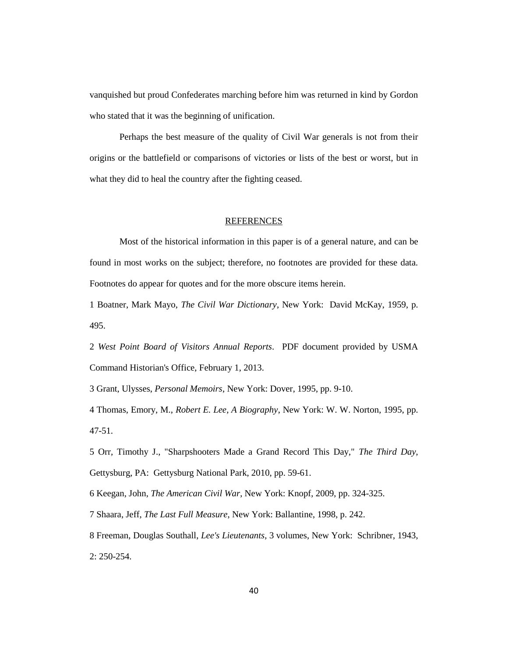vanquished but proud Confederates marching before him was returned in kind by Gordon who stated that it was the beginning of unification.

Perhaps the best measure of the quality of Civil War generals is not from their origins or the battlefield or comparisons of victories or lists of the best or worst, but in what they did to heal the country after the fighting ceased.

### REFERENCES

Most of the historical information in this paper is of a general nature, and can be found in most works on the subject; therefore, no footnotes are provided for these data. Footnotes do appear for quotes and for the more obscure items herein.

1 Boatner, Mark Mayo, *The Civil War Dictionary*, New York: David McKay, 1959, p. 495.

2 *West Point Board of Visitors Annual Reports*. PDF document provided by USMA Command Historian's Office, February 1, 2013.

3 Grant, Ulysses, *Personal Memoirs*, New York: Dover, 1995, pp. 9-10.

4 Thomas, Emory, M., *Robert E. Lee, A Biography*, New York: W. W. Norton, 1995, pp. 47-51.

5 Orr, Timothy J., "Sharpshooters Made a Grand Record This Day," *The Third Day*, Gettysburg, PA: Gettysburg National Park, 2010, pp. 59-61.

6 Keegan, John, *The American Civil War*, New York: Knopf, 2009, pp. 324-325.

7 Shaara, Jeff, *The Last Full Measure*, New York: Ballantine, 1998, p. 242.

8 Freeman, Douglas Southall, *Lee's Lieutenants,* 3 volumes, New York: Schribner, 1943, 2: 250-254.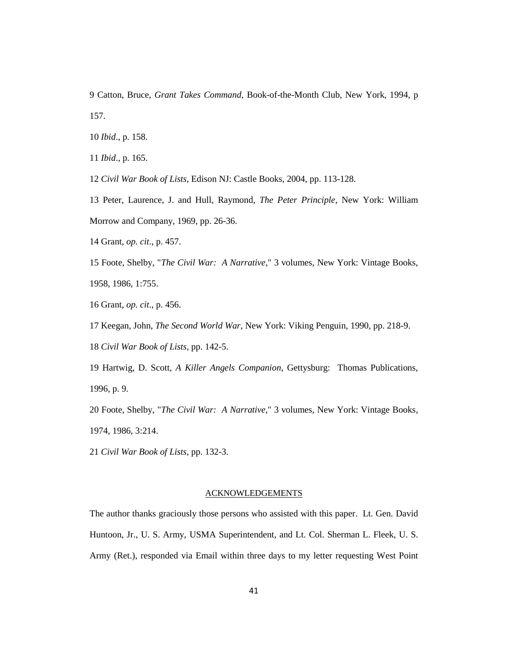9 Catton, Bruce, *Grant Takes Command,* Book-of-the-Month Club, New York, 1994, p 157.

10 *Ibid*., p. 158.

11 *Ibid*., p. 165.

12 *Civil War Book of Lists,* Edison NJ: Castle Books, 2004, pp. 113-128.

13 Peter, Laurence, J. and Hull, Raymond, *The Peter Principle*, New York: William Morrow and Company, 1969, pp. 26-36.

14 Grant, *op. cit*., p. 457.

15 Foote, Shelby, "*The Civil War: A Narrative*," 3 volumes, New York: Vintage Books, 1958, 1986, 1:755.

16 Grant, *op. cit*., p. 456.

17 Keegan, John, *The Second World War*, New York: Viking Penguin, 1990, pp. 218-9.

18 *Civil War Book of Lists,* pp. 142-5.

19 Hartwig, D. Scott, *A Killer Angels Companion*, Gettysburg: Thomas Publications, 1996, p. 9.

20 Foote, Shelby, "*The Civil War: A Narrative*," 3 volumes, New York: Vintage Books, 1974, 1986, 3:214.

21 *Civil War Book of Lists,* pp. 132-3.

### ACKNOWLEDGEMENTS

The author thanks graciously those persons who assisted with this paper. Lt. Gen. David Huntoon, Jr., U. S. Army, USMA Superintendent, and Lt. Col. Sherman L. Fleek, U. S. Army (Ret.), responded via Email within three days to my letter requesting West Point